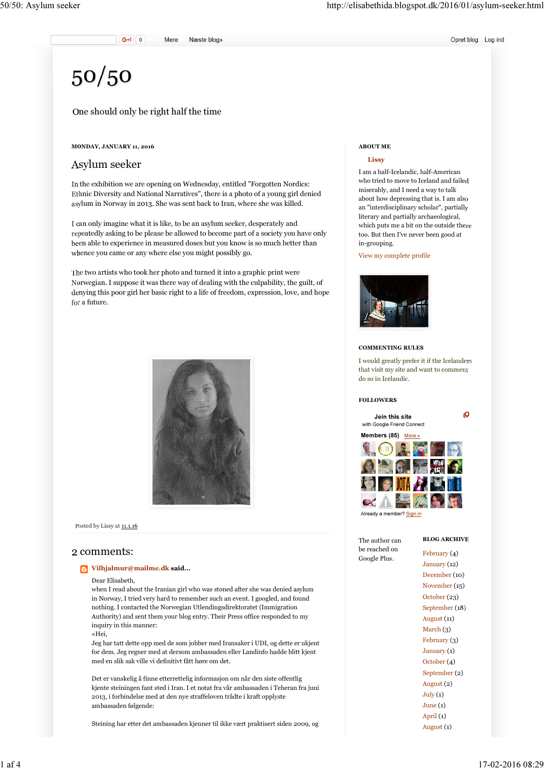Opret blog Log ind

 $50/50$ 

One should only be right half the time

MONDAY, JANUARY 11, 2016

# Asylum seeker

In the exhibition we are opening on Wednesday, entitled "Forgotten Nordics: Ethnic Diversity and National Narratives", there is a photo of a young girl denied asylum in Norway in 2013. She was sent back to Iran, where she was killed.

I can only imagine what it is like, to be an asylum seeker, desperately and repeatedly asking to be please be allowed to become part of a society you have only been able to experience in measured doses but you know is so much better than whence you came or any where else you might possibly go.

The two artists who took her photo and turned it into a graphic print were Norwegian. I suppose it was there way of dealing with the culpability, the guilt, of denying this poor girl her basic right to a life of freedom, expression, love, and hope for a future.



Posted by Lissy at 11.1.16

## 2 comments:

## Vilhjalmur@mailme.dk said...

Dear Elisabeth,

when I read about the Iranian girl who was stoned after she was denied asylum in Norway, I tried very hard to remember such an event. I googled, and found nothing. I contacted the Norwegian Utlendingsdirektoratet (Immigration Authority) and sent them your blog entry. Their Press office responded to my inquiry in this manner:

«Hei,

Jeg har tatt dette opp med de som jobber med Iransaker i UDI, og dette er ukjent for dem. Jeg regner med at dersom ambassaden eller Landinfo hadde blitt kjent med en slik sak ville vi definitivt fått høre om det.

Det er vanskelig å finne etterrettelig informasjon om når den siste offentlig kjente steiningen fant sted i Iran. I et notat fra vår ambassaden i Teheran fra juni 2013, i forbindelse med at den nye straffeloven trådte i kraft opplyste ambassaden følgende:

Steining har etter det ambassaden kjenner til ikke vært praktisert siden 2009, og

## ABOUT ME

#### **Lissy**

I am a half-Icelandic, half-American who tried to move to Iceland and failed miserably, and I need a way to talk about how depressing that is. I am also an "interdisciplinary scholar", partially literary and partially archaeological, which puts me a bit on the outside there too. But then I've never been good at in-grouping.

View my complete profile



### COMMENTING RULES

I would greatly prefer it if the Icelanders that visit my site and want to comment do so in Icelandic.

#### **FOLLOWERS**

Join this site with Google Friend Connect O



The author can be reached on Google Plus.

#### BLOG ARCHIVE

February (4) January (12) December (10) November (15) October (23) September (18) August (11) March (3) February (3) January (1) October (4) September (2) August (2) July (1) June (1) April (1) August (1)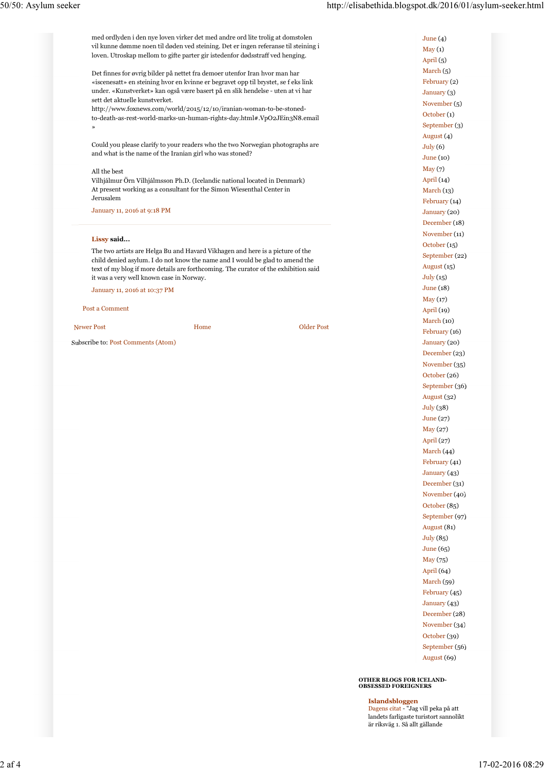med ordlyden i den nye loven virker det med andre ord lite trolig at domstolen vil kunne dømme noen til døden ved steining. Det er ingen referanse til steining i loven. Utroskap mellom to gifte parter gir istedenfor dødsstraff ved henging.

Det finnes for øvrig bilder på nettet fra demoer utenfor Iran hvor man har «iscenesatt» en steining hvor en kvinne er begravet opp til brystet, se f eks link under. «Kunstverket» kan også være basert på en slik hendelse - uten at vi har sett det aktuelle kunstverket.

http://www.foxnews.com/world/2015/12/10/iranian-woman-to-be-stonedto-death-as-rest-world-marks-un-human-rights-day.html#.VpO2JEin3N8.email »

Could you please clarify to your readers who the two Norwegian photographs are and what is the name of the Iranian girl who was stoned?

### All the best

Vilhjálmur Örn Vilhjálmsson Ph.D. (Icelandic national located in Denmark) At present working as a consultant for the Simon Wiesenthal Center in Jerusalem

January 11, 2016 at 9:18 PM

## Lissy said...

The two artists are Helga Bu and Havard Vikhagen and here is a picture of the child denied asylum. I do not know the name and I would be glad to amend the text of my blog if more details are forthcoming. The curator of the exhibition said it was a very well known case in Norway.

January 11, 2016 at 10:37 PM

Post a Comment

Newer Post **New Accounts** Home **Contains Home Contains Container Post** 

Subscribe to: Post Comments (Atom)

June (4)  $May(1)$ April (5) March (5) February (2) January (3) November (5) October (1) September (3) August (4) July (6) June (10)  $May (7)$ April (14) March (13) February (14) January (20) December (18) November (11) October (15) September (22) August (15) July (15) June (18) May (17) April (19) March (10) February (16) January (20) December (23) November (35) October (26) September (36) August (32) July (38) June (27) May (27) April (27) March (44) February (41) January (43) December (31) November (40) October (85) September (97) August (81) July (85) June (65) May (75) April (64) March (59) February (45) January (43) December (28) November (34) October (39) September (56) August (69)

OTHER BLOGS FOR ICELAND-OBSESSED FOREIGNERS

Islandsbloggen

Dagens citat - "Jag vill peka på att landets farligaste turistort sannolikt är riksväg 1. Så allt gällande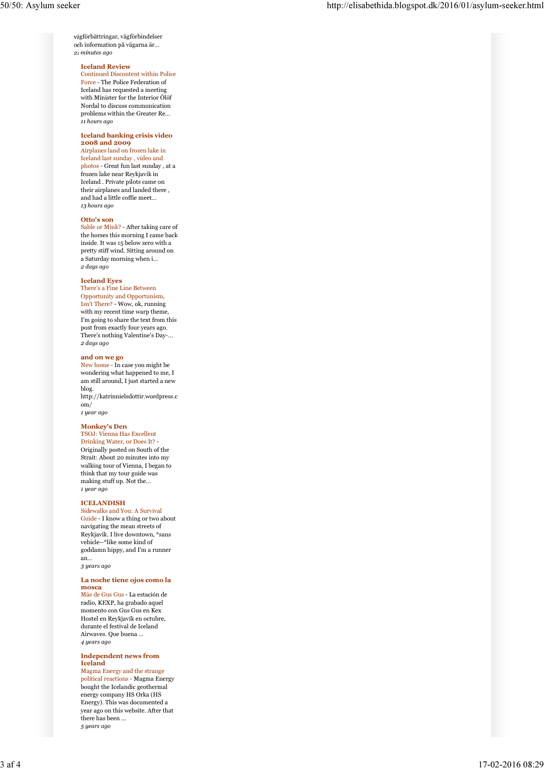vägförbättringar, vägförbindelser och information på vägarna är... 21 minutes ago

### Iceland Review

Continued Discontent within Police Force - The Police Federation of Iceland has requested a meeting with Minister for the Interior Ólöf Nordal to discuss communication problems within the Greater Re... 11 hours ago

# Iceland banking crisis video 2008 and 2009 Airplanes land on frozen lake in

Iceland last sunday , video and photos - Great fun last sunday , at a frozen lake near Reykjavik in Iceland . Private pilots came on their airplanes and landed there , and had a little coffie meet... 13 hours ago

#### Otto's son

Sable or Mink? - After taking care of the horses this morning I came back inside. It was 15 below zero with a pretty stiff wind. Sitting around on a Saturday morning when i... 2 days ago

# Iceland Eyes

There's a Fine Line Between Opportunity and Opportunism, Isn't There? - Wow, ok, running with my recent time warp theme, I'm going to share the text from this post from exactly four years ago. There's nothing Valentine's Day-... 2 days ago

## and on we go

New home - In case you might be wondering what happened to me, I am still around, I just started a new blog. http://katrinnielsdottir.wordpress.c om/ 1 year ago

#### Monkey's Den

TSOJ: Vienna Has Excellent Drinking Water, or Does It? - Originally posted on South of the Strait: About 20 minutes into my walking tour of Vienna, I began to think that my tour guide was making stuff up. Not the... 1 year ago

#### ICELANDISH

Sidewalks and You: A Survival Guide - I know a thing or two about navigating the mean streets of Reykjavik. I live downtown, \*sans vehicle--\*like some kind of goddamn hippy, and I'm a runner an...

3 years ago

### La noche tiene ojos como la mosca

Más de Gus Gus - La estación de radio, KEXP, ha grabado aquel momento con Gus Gus en Kex Hostel en Reykjavík en octubre, durante el festival de Iceland Airwaves. Que buena ... 4 years ago

#### Independent news from Iceland

Magma Energy and the strange political reactions - Magma Energy bought the Icelandic geothermal energy company HS Orka (HS Energy). This was documented a year ago on this website. After that there has been ... 5 years ago